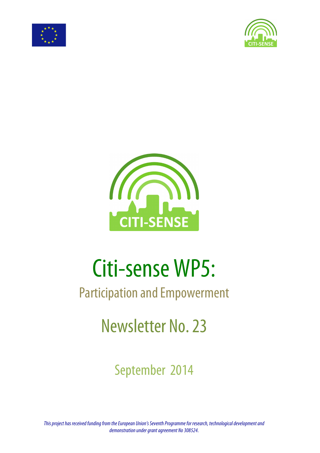





# Citi-sense WP5:

## Participation and Empowerment

# Newsletter No. 23

## September 2014

*This project has received funding from the European Union's Seventh Programme for research, technological development and demonstration under grant agreement No 308524.*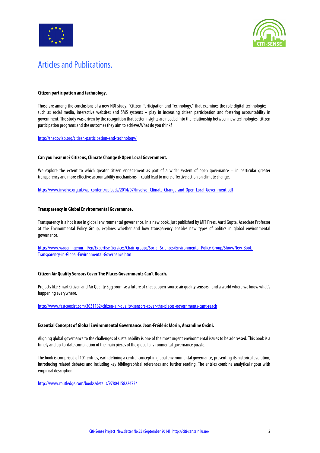



### Articles and Publications.

#### **Citizen participation and technology.**

Those are among the conclusions of a new NDI study, "Citizen Participation and Technology," that examines the role digital technologies – such as social media, interactive websites and SMS systems – play in increasing citizen participation and fostering accountability in government. The study was driven by the recognition that better insights are needed into the relationship between new technologies, citizen participation programs and the outcomes they aim to achieve.What do you think?

http://thegovlab.org/citizen-participation-and-technology/

#### **Can you hear me? Citizens, Climate Change & Open Local Government.**

We explore the extent to which greater citizen engagement as part of a wider system of open governance – in particular greater transparency and more effective accountability mechanisms – could lead to more effective action on climate change.

http://www.involve.org.uk/wp-content/uploads/2014/07/Involve\_Climate-Change-and-Open-Local-Government.pdf

#### **Transparency in Global Environmental Governance.**

Transparency is a hot issue in global environmental governance. In a new book, just published by MIT Press, Aarti Gupta, Associate Professor at the Environmental Policy Group, explores whether and how transparency enables new types of politics in global environmental governance.

http://www.wageningenur.nl/en/Expertise-Services/Chair-groups/Social-Sciences/Environmental-Policy-Group/Show/New-Book-Transparency-in-Global-Environmental-Governance.htm

#### **Citizen Air Quality Sensors Cover The Places Governments Can't Reach.**

Projects like Smart Citizen and Air Quality Egg promise a future of cheap, open-source air quality sensors--and a world where we know what's happening everywhere.

http://www.fastcoexist.com/3031162/citizen-air-quality-sensors-cover-the-places-governments-cant-reach

#### **Essential Concepts of Global Environmental Governance**. **Jean-Frédéric Morin, Amandine Orsini.**

Aligning global governance to the challenges of sustainability is one of the most urgent environmental issues to be addressed. This book is a timelyand up-to-date compilation of the main pieces of the global environmental governance puzzle.

The book is comprised of 101 entries, each defining a central concept in global environmental governance, presenting its historical evolution, introducing related debates and including key bibliographical references and further reading. The entries combine analytical rigour with empirical description.

http://www.routledge.com/books/details/9780415822473/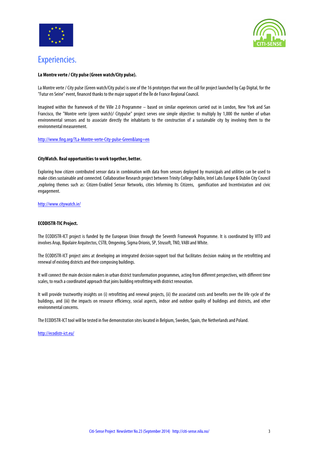



### Experiencies.

#### **La Montre verte / City pulse (Green watch/City pulse).**

La Montre verte / City pulse (Green watch/City pulse) is one of the 16 prototypes that won the call for project launched by Cap Digital, for the "Futur en Seine" event, financed thanks to the major support of the Île de France Regional Council.

Imagined within the framework of the Ville 2.0 Programme – based on similar experiences carried out in London, New York and San Francisco, the "Montre verte (green watch)/ Citypulse" project serves one simple objective: to multiply by 1,000 the number of urban environmental sensors and to associate directly the inhabitants to the construction of a sustainable city by involving them to the environmental measurement.

http://www.fing.org/?La-Montre-verte-City-pulse-Green&lang=en

#### **CityWatch. Real opportunities to work together, better.**

Exploring how citizen contributed sensor data in combination with data from sensors deployed by municipals and utilities can be used to make cities sustainable and connected. Collaborative Research project between Trinity College Dublin, Intel Labs Europe & Dublin City Council ,exploring themes such as: Citizen-Enabled Sensor Networks, cities Informing Its Citizens, gamification and Incentivization and civic engagement.

http://www.citywatch.ie/

#### **ECODISTR-TIC Project.**

The ECODISTR-ICT project is funded by the European Union through the Seventh Framework Programme. It is coordinated by VITO and involves Arup, Bipolaire Arquitectos, CSTB, Omgeving, Sigma Orionis, SP, Strusoft, TNO, VABI and White.

The ECODISTR-ICT project aims at developing an integrated decision-support tool that facilitates decision making on the retrofitting and renewal of existing districts and their composing buildings.

It will connect the main decision makers in urban district transformation programmes, acting from different perspectives, with different time scales, to reach a coordinated approach that joins building retrofitting with district renovation.

It will provide trustworthy insights on (i) retrofitting and renewal projects, (ii) the associated costs and benefits over the life cycle of the buildings, and (iii) the impacts on resource efficiency, social aspects, indoor and outdoor quality of buildings and districts, and other environmental concerns.

The ECODISTR-ICT tool will be tested in five demonstration sites located in Belgium, Sweden, Spain, the Netherlands and Poland.

#### http://ecodistr-ict.eu/